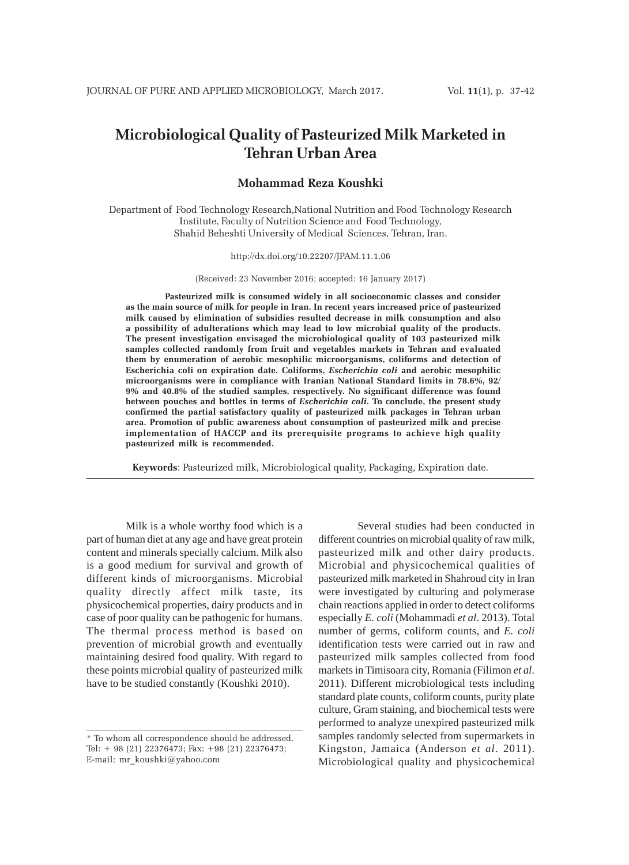# **Microbiological Quality of Pasteurized Milk Marketed in Tehran Urban Area**

# **Mohammad Reza Koushki**

Department of Food Technology Research,National Nutrition and Food Technology Research Institute, Faculty of Nutrition Science and Food Technology, Shahid Beheshti University of Medical Sciences, Tehran, Iran.

#### http://dx.doi.org/10.22207/JPAM.11.1.06

(Received: 23 November 2016; accepted: 16 January 2017)

**Pasteurized milk is consumed widely in all socioeconomic classes and consider as the main source of milk for people in Iran. In recent years increased price of pasteurized milk caused by elimination of subsidies resulted decrease in milk consumption and also a possibility of adulterations which may lead to low microbial quality of the products. The present investigation envisaged the microbiological quality of 103 pasteurized milk samples collected randomly from fruit and vegetables markets in Tehran and evaluated them by enumeration of aerobic mesophilic microorganisms, coliforms and detection of Escherichia coli on expiration date. Coliforms,** *Escherichia coli* **and aerobic mesophilic microorganisms were in compliance with Iranian National Standard limits in 78.6%, 92/ 9% and 40.8% of the studied samples, respectively. No significant difference was found between pouches and bottles in terms of** *Escherichia coli***. To conclude, the present study confirmed the partial satisfactory quality of pasteurized milk packages in Tehran urban area. Promotion of public awareness about consumption of pasteurized milk and precise implementation of HACCP and its prerequisite programs to achieve high quality pasteurized milk is recommended.**

**Keywords**: Pasteurized milk, Microbiological quality, Packaging, Expiration date.

Milk is a whole worthy food which is a part of human diet at any age and have great protein content and minerals specially calcium. Milk also is a good medium for survival and growth of different kinds of microorganisms. Microbial quality directly affect milk taste, its physicochemical properties, dairy products and in case of poor quality can be pathogenic for humans. The thermal process method is based on prevention of microbial growth and eventually maintaining desired food quality. With regard to these points microbial quality of pasteurized milk have to be studied constantly (Koushki 2010).

Several studies had been conducted in different countries on microbial quality of raw milk, pasteurized milk and other dairy products. Microbial and physicochemical qualities of pasteurized milk marketed in Shahroud city in Iran were investigated by culturing and polymerase chain reactions applied in order to detect coliforms especially *E. coli* (Mohammadi *et al*. 2013). Total number of germs, coliform counts, and *E. coli* identification tests were carried out in raw and pasteurized milk samples collected from food markets in Timisoara city, Romania (Filimon *et al*. 2011). Different microbiological tests including standard plate counts, coliform counts, purity plate culture, Gram staining, and biochemical tests were performed to analyze unexpired pasteurized milk samples randomly selected from supermarkets in Kingston, Jamaica (Anderson *et al*. 2011). Microbiological quality and physicochemical

<sup>\*</sup> To whom all correspondence should be addressed. Tel: + 98 (21) 22376473; Fax: +98 (21) 22376473; E-mail: mr\_koushki@yahoo.com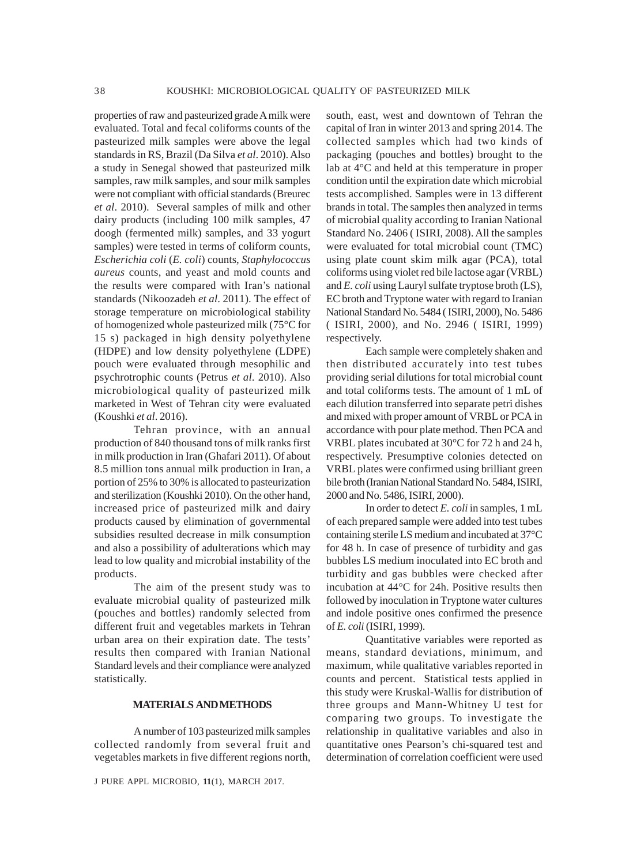properties of raw and pasteurized grade A milk were evaluated. Total and fecal coliforms counts of the pasteurized milk samples were above the legal standards in RS, Brazil (Da Silva *et al*. 2010). Also a study in Senegal showed that pasteurized milk samples, raw milk samples, and sour milk samples were not compliant with official standards (Breurec *et al*. 2010). Several samples of milk and other dairy products (including 100 milk samples, 47 doogh (fermented milk) samples, and 33 yogurt samples) were tested in terms of coliform counts, *Escherichia coli* (*E. coli*) counts, *Staphylococcus aureus* counts, and yeast and mold counts and the results were compared with Iran's national standards (Nikoozadeh *et al*. 2011). The effect of storage temperature on microbiological stability of homogenized whole pasteurized milk (75°C for 15 s) packaged in high density polyethylene (HDPE) and low density polyethylene (LDPE) pouch were evaluated through mesophilic and psychrotrophic counts (Petrus *et al*. 2010). Also microbiological quality of pasteurized milk marketed in West of Tehran city were evaluated (Koushki *et al*. 2016).

Tehran province, with an annual production of 840 thousand tons of milk ranks first in milk production in Iran (Ghafari 2011). Of about 8.5 million tons annual milk production in Iran, a portion of 25% to 30% is allocated to pasteurization and sterilization (Koushki 2010). On the other hand, increased price of pasteurized milk and dairy products caused by elimination of governmental subsidies resulted decrease in milk consumption and also a possibility of adulterations which may lead to low quality and microbial instability of the products.

The aim of the present study was to evaluate microbial quality of pasteurized milk (pouches and bottles) randomly selected from different fruit and vegetables markets in Tehran urban area on their expiration date. The tests' results then compared with Iranian National Standard levels and their compliance were analyzed statistically.

# **MATERIALS AND METHODS**

A number of 103 pasteurized milk samples collected randomly from several fruit and vegetables markets in five different regions north,

J PURE APPL MICROBIO*,* **11**(1), MARCH 2017.

south, east, west and downtown of Tehran the capital of Iran in winter 2013 and spring 2014. The collected samples which had two kinds of packaging (pouches and bottles) brought to the lab at 4°C and held at this temperature in proper condition until the expiration date which microbial tests accomplished. Samples were in 13 different brands in total. The samples then analyzed in terms of microbial quality according to Iranian National Standard No. 2406 ( ISIRI, 2008). All the samples were evaluated for total microbial count (TMC) using plate count skim milk agar (PCA), total coliforms using violet red bile lactose agar (VRBL) and *E. coli* using Lauryl sulfate tryptose broth (LS), EC broth and Tryptone water with regard to Iranian National Standard No. 5484 ( ISIRI, 2000), No. 5486 ( ISIRI, 2000), and No. 2946 ( ISIRI, 1999) respectively.

Each sample were completely shaken and then distributed accurately into test tubes providing serial dilutions for total microbial count and total coliforms tests. The amount of 1 mL of each dilution transferred into separate petri dishes and mixed with proper amount of VRBL or PCA in accordance with pour plate method. Then PCA and VRBL plates incubated at 30°C for 72 h and 24 h, respectively. Presumptive colonies detected on VRBL plates were confirmed using brilliant green bile broth (Iranian National Standard No. 5484, ISIRI, 2000 and No. 5486, ISIRI, 2000).

In order to detect *E. coli* in samples, 1 mL of each prepared sample were added into test tubes containing sterile LS medium and incubated at 37°C for 48 h. In case of presence of turbidity and gas bubbles LS medium inoculated into EC broth and turbidity and gas bubbles were checked after incubation at 44°C for 24h. Positive results then followed by inoculation in Tryptone water cultures and indole positive ones confirmed the presence of *E. coli* (ISIRI, 1999).

Quantitative variables were reported as means, standard deviations, minimum, and maximum, while qualitative variables reported in counts and percent. Statistical tests applied in this study were Kruskal-Wallis for distribution of three groups and Mann-Whitney U test for comparing two groups. To investigate the relationship in qualitative variables and also in quantitative ones Pearson's chi-squared test and determination of correlation coefficient were used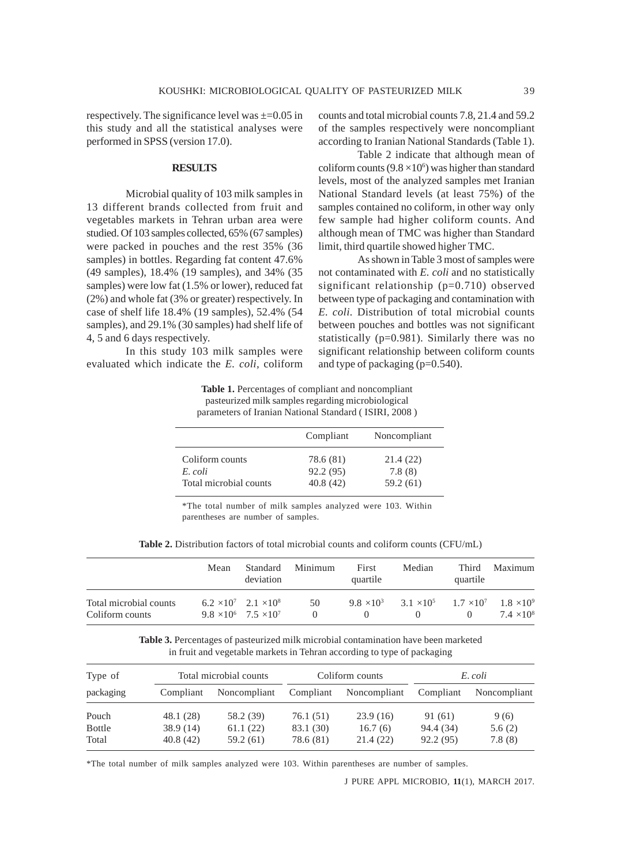respectively. The significance level was  $\pm$ =0.05 in this study and all the statistical analyses were performed in SPSS (version 17.0).

## **RESULTS**

Microbial quality of 103 milk samples in 13 different brands collected from fruit and vegetables markets in Tehran urban area were studied. Of 103 samples collected, 65% (67 samples) were packed in pouches and the rest 35% (36 samples) in bottles. Regarding fat content 47.6% (49 samples), 18.4% (19 samples), and 34% (35 samples) were low fat (1.5% or lower), reduced fat (2%) and whole fat (3% or greater) respectively. In case of shelf life 18.4% (19 samples), 52.4% (54 samples), and 29.1% (30 samples) had shelf life of 4, 5 and 6 days respectively.

In this study 103 milk samples were evaluated which indicate the *E. coli,* coliform counts and total microbial counts 7.8, 21.4 and 59.2 of the samples respectively were noncompliant according to Iranian National Standards (Table 1).

Table 2 indicate that although mean of coliform counts  $(9.8 \times 10^6)$  was higher than standard levels, most of the analyzed samples met Iranian National Standard levels (at least 75%) of the samples contained no coliform, in other way only few sample had higher coliform counts. And although mean of TMC was higher than Standard limit, third quartile showed higher TMC.

As shown in Table 3 most of samples were not contaminated with *E. coli* and no statistically significant relationship (p=0.710) observed between type of packaging and contamination with *E. coli.* Distribution of total microbial counts between pouches and bottles was not significant statistically (p=0.981). Similarly there was no significant relationship between coliform counts and type of packaging (p=0.540).

**Table 1.** Percentages of compliant and noncompliant pasteurized milk samples regarding microbiological parameters of Iranian National Standard ( ISIRI, 2008 )

|                        | Compliant | Noncompliant |
|------------------------|-----------|--------------|
| Coliform counts        | 78.6 (81) | 21.4(22)     |
| E coli                 | 92.2 (95) | 7.8(8)       |
| Total microbial counts | 40.8(42)  | 59.2 (61)    |

\*The total number of milk samples analyzed were 103. Within parentheses are number of samples.

|  |  |  | <b>Table 2.</b> Distribution factors of total microbial counts and coliform counts (CFU/mL) |  |
|--|--|--|---------------------------------------------------------------------------------------------|--|
|--|--|--|---------------------------------------------------------------------------------------------|--|

|                                           | Mean | Standard<br>deviation                                                      | Minimum | First<br>quartile | Median                                                                  | Third<br>quartile | Maximum           |
|-------------------------------------------|------|----------------------------------------------------------------------------|---------|-------------------|-------------------------------------------------------------------------|-------------------|-------------------|
| Total microbial counts<br>Coliform counts |      | $6.2 \times 10^7$ $2.1 \times 10^8$<br>$9.8 \times 10^6$ 7.5 $\times 10^7$ | -50     |                   | $9.8 \times 10^3$ $3.1 \times 10^5$ $1.7 \times 10^7$ $1.8 \times 10^9$ |                   | $7.4 \times 10^8$ |

**Table 3.** Percentages of pasteurized milk microbial contamination have been marketed in fruit and vegetable markets in Tehran according to type of packaging

| Type of       | Total microbial counts |              | Coliform counts |              | E. coli   |              |
|---------------|------------------------|--------------|-----------------|--------------|-----------|--------------|
| packaging     | Compliant              | Noncompliant | Compliant       | Noncompliant | Compliant | Noncompliant |
| Pouch         | 48.1 (28)              | 58.2 (39)    | 76.1 (51)       | 23.9(16)     | 91 (61)   | 9(6)         |
| <b>Bottle</b> | 38.9(14)               | 61.1(22)     | 83.1 (30)       | 16.7(6)      | 94.4 (34) | 5.6(2)       |
| Total         | 40.8(42)               | 59.2 (61)    | 78.6 (81)       | 21.4 (22)    | 92.2 (95) | 7.8(8)       |

\*The total number of milk samples analyzed were 103. Within parentheses are number of samples.

J PURE APPL MICROBIO*,* **11**(1), MARCH 2017.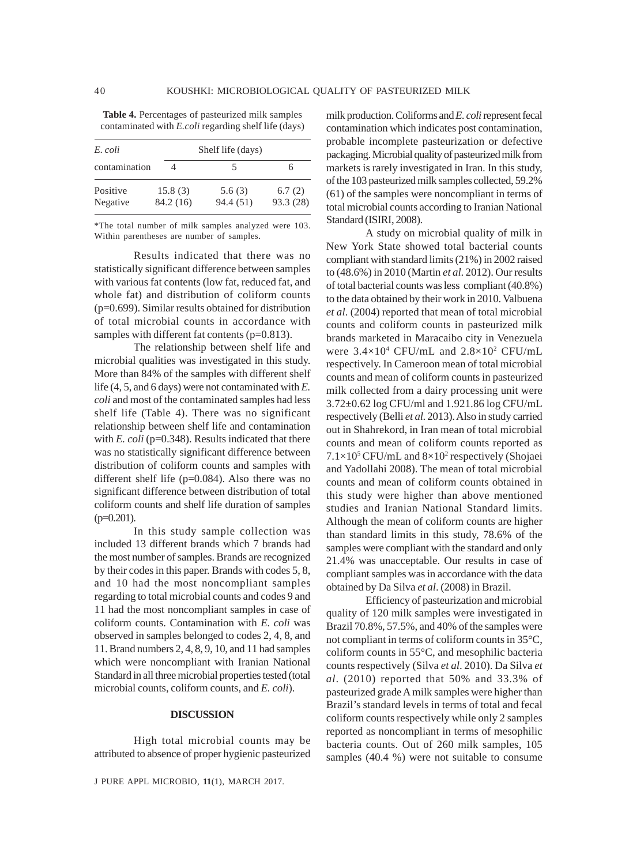| E. coli              |                      | Shelf life (days)   |                     |  |  |
|----------------------|----------------------|---------------------|---------------------|--|--|
| contamination        |                      |                     | h                   |  |  |
| Positive<br>Negative | 15.8(3)<br>84.2 (16) | 5.6(3)<br>94.4 (51) | 6.7(2)<br>93.3 (28) |  |  |

**Table 4.** Percentages of pasteurized milk samples contaminated with *E.coli* regarding shelf life (days)

\*The total number of milk samples analyzed were 103. Within parentheses are number of samples.

Results indicated that there was no statistically significant difference between samples with various fat contents (low fat, reduced fat, and whole fat) and distribution of coliform counts (p=0.699). Similar results obtained for distribution of total microbial counts in accordance with samples with different fat contents (p=0.813).

The relationship between shelf life and microbial qualities was investigated in this study. More than 84% of the samples with different shelf life (4, 5, and 6 days) were not contaminated with *E. coli* and most of the contaminated samples had less shelf life (Table 4). There was no significant relationship between shelf life and contamination with *E. coli* (p=0.348). Results indicated that there was no statistically significant difference between distribution of coliform counts and samples with different shelf life (p=0.084). Also there was no significant difference between distribution of total coliform counts and shelf life duration of samples  $(p=0.201)$ .

In this study sample collection was included 13 different brands which 7 brands had the most number of samples. Brands are recognized by their codes in this paper. Brands with codes 5, 8, and 10 had the most noncompliant samples regarding to total microbial counts and codes 9 and 11 had the most noncompliant samples in case of coliform counts. Contamination with *E. coli* was observed in samples belonged to codes 2, 4, 8, and 11. Brand numbers 2, 4, 8, 9, 10, and 11 had samples which were noncompliant with Iranian National Standard in all three microbial properties tested (total microbial counts, coliform counts, and *E. coli*).

### **DISCUSSION**

High total microbial counts may be attributed to absence of proper hygienic pasteurized

J PURE APPL MICROBIO*,* **11**(1), MARCH 2017.

milk production. Coliforms and *E. coli* represent fecal contamination which indicates post contamination, probable incomplete pasteurization or defective packaging. Microbial quality of pasteurized milk from markets is rarely investigated in Iran. In this study, of the 103 pasteurized milk samples collected, 59.2% (61) of the samples were noncompliant in terms of total microbial counts according to Iranian National Standard (ISIRI, 2008).

A study on microbial quality of milk in New York State showed total bacterial counts compliant with standard limits (21%) in 2002 raised to (48.6%) in 2010 (Martin *et al*. 2012). Our results of total bacterial counts was less compliant (40.8%) to the data obtained by their work in 2010. Valbuena *et al*. (2004) reported that mean of total microbial counts and coliform counts in pasteurized milk brands marketed in Maracaibo city in Venezuela were  $3.4 \times 10^4$  CFU/mL and  $2.8 \times 10^2$  CFU/mL respectively. In Cameroon mean of total microbial counts and mean of coliform counts in pasteurized milk collected from a dairy processing unit were 3.72±0.62 log CFU/ml and 1.921.86 log CFU/mL respectively (Belli *et al*. 2013). Also in study carried out in Shahrekord, in Iran mean of total microbial counts and mean of coliform counts reported as  $7.1\times10^5$  CFU/mL and  $8\times10^2$  respectively (Shojaei and Yadollahi 2008). The mean of total microbial counts and mean of coliform counts obtained in this study were higher than above mentioned studies and Iranian National Standard limits. Although the mean of coliform counts are higher than standard limits in this study, 78.6% of the samples were compliant with the standard and only 21.4% was unacceptable. Our results in case of compliant samples was in accordance with the data obtained by Da Silva *et al*. (2008) in Brazil.

Efficiency of pasteurization and microbial quality of 120 milk samples were investigated in Brazil 70.8%, 57.5%, and 40% of the samples were not compliant in terms of coliform counts in 35°C, coliform counts in 55°C, and mesophilic bacteria counts respectively (Silva *et al*. 2010). Da Silva *et al*. (2010) reported that 50% and 33.3% of pasteurized grade A milk samples were higher than Brazil's standard levels in terms of total and fecal coliform counts respectively while only 2 samples reported as noncompliant in terms of mesophilic bacteria counts. Out of 260 milk samples, 105 samples (40.4 %) were not suitable to consume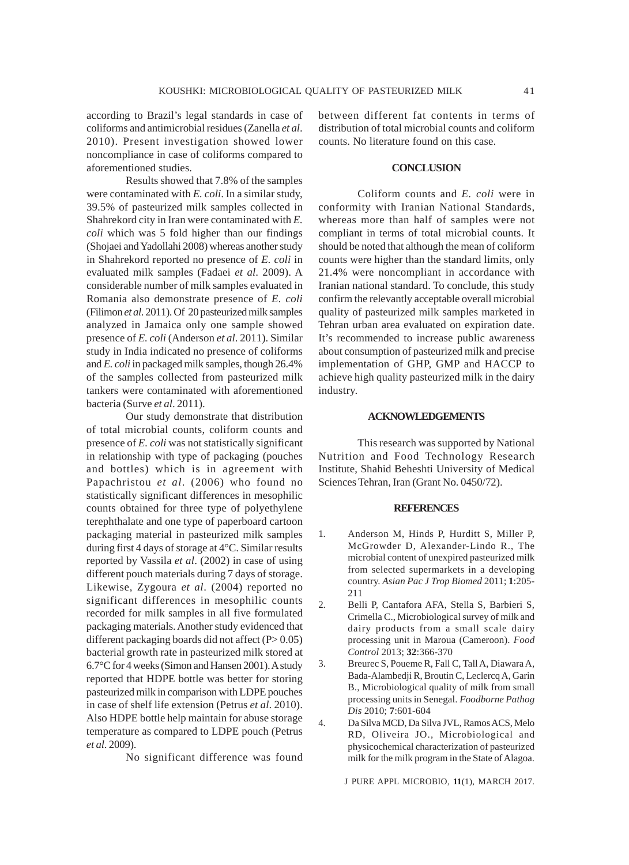according to Brazil's legal standards in case of coliforms and antimicrobial residues (Zanella *et al*. 2010). Present investigation showed lower noncompliance in case of coliforms compared to aforementioned studies.

Results showed that 7.8% of the samples were contaminated with *E. coli*. In a similar study, 39.5% of pasteurized milk samples collected in Shahrekord city in Iran were contaminated with *E. coli* which was 5 fold higher than our findings (Shojaei and Yadollahi 2008) whereas another study in Shahrekord reported no presence of *E. coli* in evaluated milk samples (Fadaei *et al*. 2009). A considerable number of milk samples evaluated in Romania also demonstrate presence of *E. coli* (Filimon *et al*. 2011). Of 20 pasteurized milk samples analyzed in Jamaica only one sample showed presence of *E. coli* (Anderson *et al*. 2011). Similar study in India indicated no presence of coliforms and *E. coli* in packaged milk samples, though 26.4% of the samples collected from pasteurized milk tankers were contaminated with aforementioned bacteria (Surve *et al*. 2011).

Our study demonstrate that distribution of total microbial counts, coliform counts and presence of *E. coli* was not statistically significant in relationship with type of packaging (pouches and bottles) which is in agreement with Papachristou *et al*. (2006) who found no statistically significant differences in mesophilic counts obtained for three type of polyethylene terephthalate and one type of paperboard cartoon packaging material in pasteurized milk samples during first 4 days of storage at 4°C. Similar results reported by Vassila *et al*. (2002) in case of using different pouch materials during 7 days of storage. Likewise, Zygoura *et al*. (2004) reported no significant differences in mesophilic counts recorded for milk samples in all five formulated packaging materials. Another study evidenced that different packaging boards did not affect  $(P> 0.05)$ bacterial growth rate in pasteurized milk stored at 6.7°C for 4 weeks (Simon and Hansen 2001). A study reported that HDPE bottle was better for storing pasteurized milk in comparison with LDPE pouches in case of shelf life extension (Petrus *et al*. 2010). Also HDPE bottle help maintain for abuse storage temperature as compared to LDPE pouch (Petrus *et al*. 2009).

No significant difference was found

between different fat contents in terms of distribution of total microbial counts and coliform counts. No literature found on this case.

# **CONCLUSION**

Coliform counts and *E. coli* were in conformity with Iranian National Standards, whereas more than half of samples were not compliant in terms of total microbial counts. It should be noted that although the mean of coliform counts were higher than the standard limits, only 21.4% were noncompliant in accordance with Iranian national standard. To conclude, this study confirm the relevantly acceptable overall microbial quality of pasteurized milk samples marketed in Tehran urban area evaluated on expiration date. It's recommended to increase public awareness about consumption of pasteurized milk and precise implementation of GHP, GMP and HACCP to achieve high quality pasteurized milk in the dairy industry.

# **ACKNOWLEDGEMENTS**

This research was supported by National Nutrition and Food Technology Research Institute, Shahid Beheshti University of Medical Sciences Tehran, Iran (Grant No. 0450/72).

#### **REFERENCES**

- 1. Anderson M, Hinds P, Hurditt S, Miller P, McGrowder D, Alexander-Lindo R., The microbial content of unexpired pasteurized milk from selected supermarkets in a developing country. *Asian Pac J Trop Biomed* 2011; **1**:205- 211
- 2. Belli P, Cantafora AFA, Stella S, Barbieri S, Crimella C., Microbiological survey of milk and dairy products from a small scale dairy processing unit in Maroua (Cameroon). *Food Control* 2013; **32**:366-370
- 3. Breurec S, Poueme R, Fall C, Tall A, Diawara A, Bada-Alambedji R, Broutin C, Leclercq A, Garin B., Microbiological quality of milk from small processing units in Senegal. *Foodborne Pathog Dis* 2010; **7**:601-604
- 4. Da Silva MCD, Da Silva JVL, Ramos ACS, Melo RD, Oliveira JO., Microbiological and physicochemical characterization of pasteurized milk for the milk program in the State of Alagoa.

J PURE APPL MICROBIO*,* **11**(1), MARCH 2017.